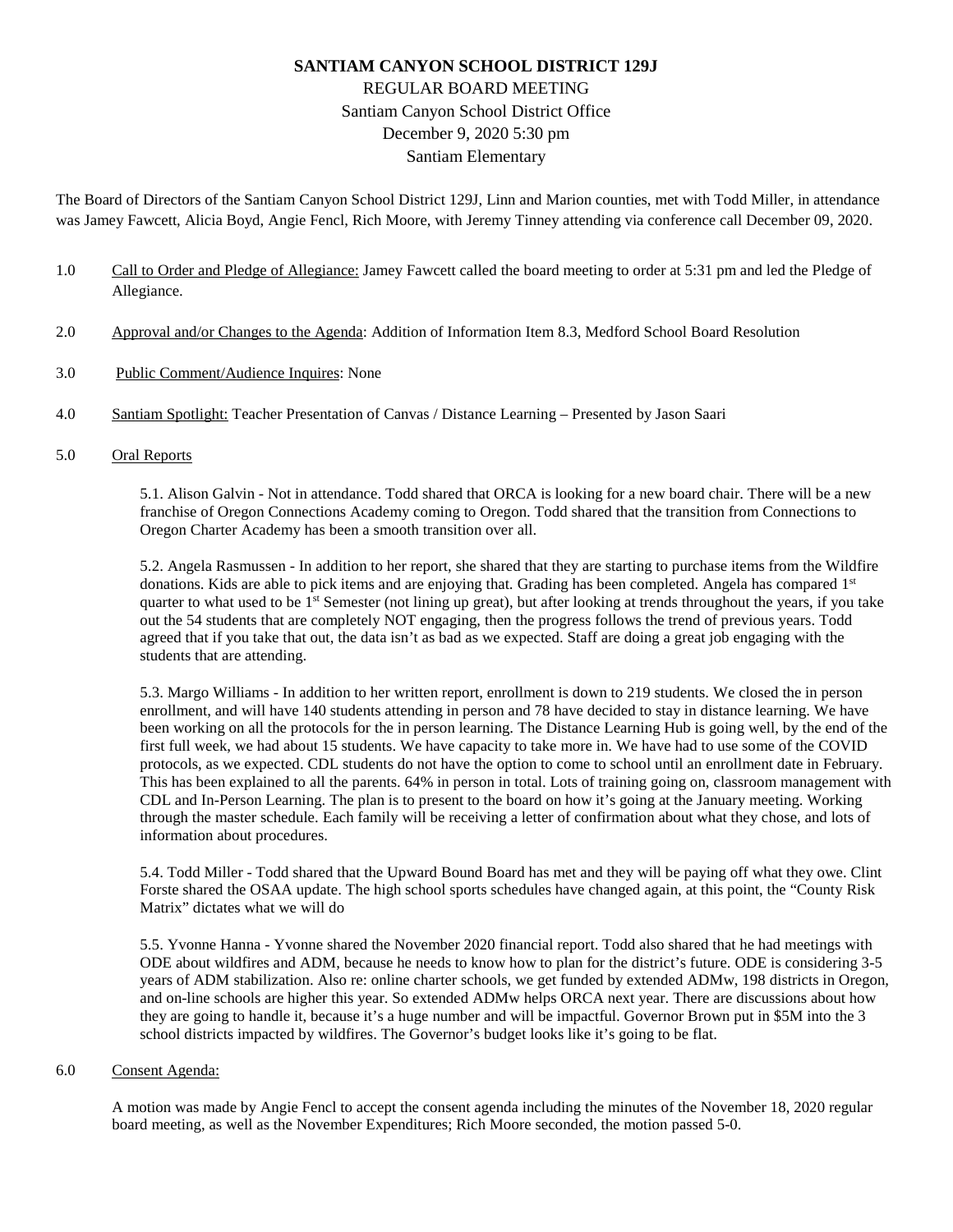# **SANTIAM CANYON SCHOOL DISTRICT 129J** REGULAR BOARD MEETING Santiam Canyon School District Office December 9, 2020 5:30 pm Santiam Elementary

The Board of Directors of the Santiam Canyon School District 129J, Linn and Marion counties, met with Todd Miller, in attendance was Jamey Fawcett, Alicia Boyd, Angie Fencl, Rich Moore, with Jeremy Tinney attending via conference call December 09, 2020.

- 1.0 Call to Order and Pledge of Allegiance: Jamey Fawcett called the board meeting to order at 5:31 pm and led the Pledge of Allegiance.
- 2.0 Approval and/or Changes to the Agenda: Addition of Information Item 8.3, Medford School Board Resolution
- 3.0 Public Comment/Audience Inquires: None
- 4.0 Santiam Spotlight: Teacher Presentation of Canvas / Distance Learning Presented by Jason Saari
- 5.0 Oral Reports

5.1. Alison Galvin - Not in attendance. Todd shared that ORCA is looking for a new board chair. There will be a new franchise of Oregon Connections Academy coming to Oregon. Todd shared that the transition from Connections to Oregon Charter Academy has been a smooth transition over all.

5.2. Angela Rasmussen - In addition to her report, she shared that they are starting to purchase items from the Wildfire donations. Kids are able to pick items and are enjoying that. Grading has been completed. Angela has compared 1st quarter to what used to be  $1<sup>st</sup>$  Semester (not lining up great), but after looking at trends throughout the years, if you take out the 54 students that are completely NOT engaging, then the progress follows the trend of previous years. Todd agreed that if you take that out, the data isn't as bad as we expected. Staff are doing a great job engaging with the students that are attending.

5.3. Margo Williams - In addition to her written report, enrollment is down to 219 students. We closed the in person enrollment, and will have 140 students attending in person and 78 have decided to stay in distance learning. We have been working on all the protocols for the in person learning. The Distance Learning Hub is going well, by the end of the first full week, we had about 15 students. We have capacity to take more in. We have had to use some of the COVID protocols, as we expected. CDL students do not have the option to come to school until an enrollment date in February. This has been explained to all the parents. 64% in person in total. Lots of training going on, classroom management with CDL and In-Person Learning. The plan is to present to the board on how it's going at the January meeting. Working through the master schedule. Each family will be receiving a letter of confirmation about what they chose, and lots of information about procedures.

5.4. Todd Miller - Todd shared that the Upward Bound Board has met and they will be paying off what they owe. Clint Forste shared the OSAA update. The high school sports schedules have changed again, at this point, the "County Risk Matrix" dictates what we will do

5.5. Yvonne Hanna - Yvonne shared the November 2020 financial report. Todd also shared that he had meetings with ODE about wildfires and ADM, because he needs to know how to plan for the district's future. ODE is considering 3-5 years of ADM stabilization. Also re: online charter schools, we get funded by extended ADMw, 198 districts in Oregon, and on-line schools are higher this year. So extended ADMw helps ORCA next year. There are discussions about how they are going to handle it, because it's a huge number and will be impactful. Governor Brown put in \$5M into the 3 school districts impacted by wildfires. The Governor's budget looks like it's going to be flat.

#### 6.0 Consent Agenda:

A motion was made by Angie Fencl to accept the consent agenda including the minutes of the November 18, 2020 regular board meeting, as well as the November Expenditures; Rich Moore seconded, the motion passed 5-0.